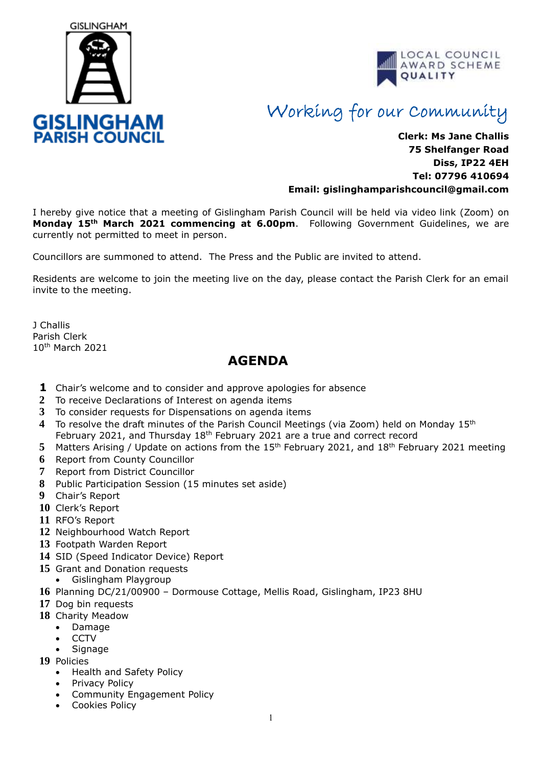



## Working for our Community

## **Clerk: Ms Jane Challis 75 Shelfanger Road Diss, IP22 4EH Tel: 07796 410694 Email: [gislinghamparishcouncil@gmail.com](mailto:gislinghamparishcouncil@gmail.com)**

I hereby give notice that a meeting of Gislingham Parish Council will be held via video link (Zoom) on **Monday 15th March 2021 commencing at 6.00pm**. Following Government Guidelines, we are currently not permitted to meet in person.

Councillors are summoned to attend. The Press and the Public are invited to attend.

Residents are welcome to join the meeting live on the day, please contact the Parish Clerk for an email invite to the meeting.

J Challis Parish Clerk 10th March 2021

## **AGENDA**

- **1** Chair's welcome and to consider and approve apologies for absence
- **2** To receive Declarations of Interest on agenda items
- **3** To consider requests for Dispensations on agenda items
- **4** To resolve the draft minutes of the Parish Council Meetings (via Zoom) held on Monday 15th February 2021, and Thursday 18<sup>th</sup> February 2021 are a true and correct record
- 5 Matters Arising / Update on actions from the 15<sup>th</sup> February 2021, and 18<sup>th</sup> February 2021 meeting
- **6** Report from County Councillor
- **7** Report from District Councillor
- **8** Public Participation Session (15 minutes set aside)
- **9** Chair's Report
- **10** Clerk's Report
- **11** RFO's Report
- **12** Neighbourhood Watch Report
- **13** Footpath Warden Report
- **14** SID (Speed Indicator Device) Report
- **15** Grant and Donation requests
	- Gislingham Playgroup
- **16** Planning DC/21/00900 Dormouse Cottage, Mellis Road, Gislingham, IP23 8HU
- **17** Dog bin requests
- **18** Charity Meadow
	- Damage
	- CCTV
	- **Signage**
- **19** Policies
	- Health and Safety Policy
	- Privacy Policy
	- Community Engagement Policy
	- Cookies Policy